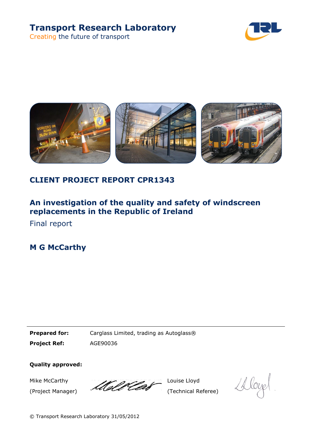# **Transport Research Laboratory**

Creating the future of transport





### **CLIENT PROJECT REPORT CPR1343**

## **An investigation of the quality and safety of windscreen replacements in the Republic of Ireland**

Final report

**M G McCarthy**

**Prepared for:** Carglass Limited, trading as Autoglass® **Project Ref:** AGE90036

**Quality approved:**

Mike McCarthy (Project Manager)

Mold Cla

Louise Lloyd (Technical Referee)

*D*loyel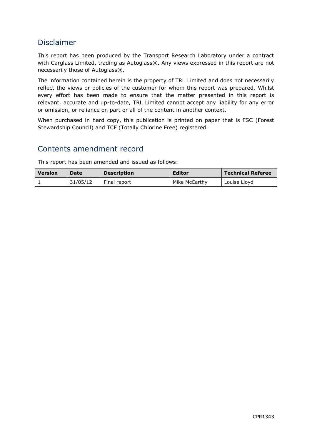### Disclaimer

This report has been produced by the Transport Research Laboratory under a contract with Carglass Limited, trading as Autoglass®. Any views expressed in this report are not necessarily those of Autoglass®.

The information contained herein is the property of TRL Limited and does not necessarily reflect the views or policies of the customer for whom this report was prepared. Whilst every effort has been made to ensure that the matter presented in this report is relevant, accurate and up-to-date, TRL Limited cannot accept any liability for any error or omission, or reliance on part or all of the content in another context.

When purchased in hard copy, this publication is printed on paper that is FSC (Forest Stewardship Council) and TCF (Totally Chlorine Free) registered.

### Contents amendment record

This report has been amended and issued as follows:

| <b>Version</b> | Date     | <b>Description</b> | <b>Editor</b> | <b>Technical Referee</b> |
|----------------|----------|--------------------|---------------|--------------------------|
|                | 31/05/12 | Final report       | Mike McCarthy | Louise Lloyd             |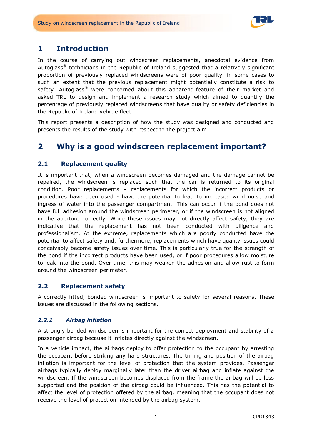

### **1 Introduction**

In the course of carrying out windscreen replacements, anecdotal evidence from Autoglass® technicians in the Republic of Ireland suggested that a relatively significant proportion of previously replaced windscreens were of poor quality, in some cases to such an extent that the previous replacement might potentially constitute a risk to safety. Autoglass<sup>®</sup> were concerned about this apparent feature of their market and asked TRL to design and implement a research study which aimed to quantify the percentage of previously replaced windscreens that have quality or safety deficiencies in the Republic of Ireland vehicle fleet.

This report presents a description of how the study was designed and conducted and presents the results of the study with respect to the project aim.

### **2 Why is a good windscreen replacement important?**

#### **2.1 Replacement quality**

It is important that, when a windscreen becomes damaged and the damage cannot be repaired, the windscreen is replaced such that the car is returned to its original condition. Poor replacements – replacements for which the incorrect products or procedures have been used - have the potential to lead to increased wind noise and ingress of water into the passenger compartment. This can occur if the bond does not have full adhesion around the windscreen perimeter, or if the windscreen is not aligned in the aperture correctly. While these issues may not directly affect safety, they are indicative that the replacement has not been conducted with diligence and professionalism. At the extreme, replacements which are poorly conducted have the potential to affect safety and, furthermore, replacements which have quality issues could conceivably become safety issues over time. This is particularly true for the strength of the bond if the incorrect products have been used, or if poor procedures allow moisture to leak into the bond. Over time, this may weaken the adhesion and allow rust to form around the windscreen perimeter.

#### **2.2 Replacement safety**

A correctly fitted, bonded windscreen is important to safety for several reasons. These issues are discussed in the following sections.

#### *2.2.1 Airbag inflation*

A strongly bonded windscreen is important for the correct deployment and stability of a passenger airbag because it inflates directly against the windscreen.

In a vehicle impact, the airbags deploy to offer protection to the occupant by arresting the occupant before striking any hard structures. The timing and position of the airbag inflation is important for the level of protection that the system provides. Passenger airbags typically deploy marginally later than the driver airbag and inflate against the windscreen. If the windscreen becomes displaced from the frame the airbag will be less supported and the position of the airbag could be influenced. This has the potential to affect the level of protection offered by the airbag, meaning that the occupant does not receive the level of protection intended by the airbag system.